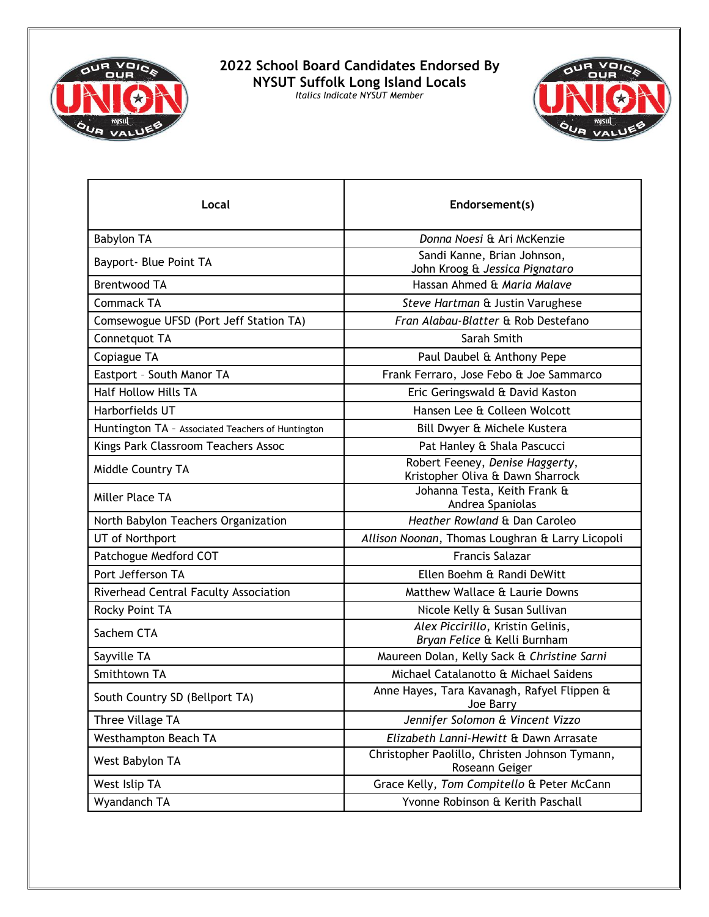

## **2022 School Board Candidates Endorsed By NYSUT Suffolk Long Island Locals** *Italics Indicate NYSUT Member*



| Local                                             | Endorsement(s)                                                      |
|---------------------------------------------------|---------------------------------------------------------------------|
| <b>Babylon TA</b>                                 | Donna Noesi & Ari McKenzie                                          |
| Bayport- Blue Point TA                            | Sandi Kanne, Brian Johnson,<br>John Kroog & Jessica Pignataro       |
| <b>Brentwood TA</b>                               | Hassan Ahmed & Maria Malave                                         |
| <b>Commack TA</b>                                 | Steve Hartman & Justin Varughese                                    |
| Comsewogue UFSD (Port Jeff Station TA)            | Fran Alabau-Blatter & Rob Destefano                                 |
| Connetquot TA                                     | Sarah Smith                                                         |
| Copiague TA                                       | Paul Daubel & Anthony Pepe                                          |
| Eastport - South Manor TA                         | Frank Ferraro, Jose Febo & Joe Sammarco                             |
| <b>Half Hollow Hills TA</b>                       | Eric Geringswald & David Kaston                                     |
| Harborfields UT                                   | Hansen Lee & Colleen Wolcott                                        |
| Huntington TA - Associated Teachers of Huntington | Bill Dwyer & Michele Kustera                                        |
| Kings Park Classroom Teachers Assoc               | Pat Hanley & Shala Pascucci                                         |
| Middle Country TA                                 | Robert Feeney, Denise Haggerty,<br>Kristopher Oliva & Dawn Sharrock |
| Miller Place TA                                   | Johanna Testa, Keith Frank &<br>Andrea Spaniolas                    |
| North Babylon Teachers Organization               | Heather Rowland & Dan Caroleo                                       |
| UT of Northport                                   | Allison Noonan, Thomas Loughran & Larry Licopoli                    |
| Patchogue Medford COT                             | <b>Francis Salazar</b>                                              |
| Port Jefferson TA                                 | Ellen Boehm & Randi DeWitt                                          |
| Riverhead Central Faculty Association             | Matthew Wallace & Laurie Downs                                      |
| Rocky Point TA                                    | Nicole Kelly & Susan Sullivan                                       |
| Sachem CTA                                        | Alex Piccirillo, Kristin Gelinis,<br>Bryan Felice & Kelli Burnham   |
| Sayville TA                                       | Maureen Dolan, Kelly Sack & Christine Sarni                         |
| Smithtown TA                                      | Michael Catalanotto & Michael Saidens                               |
| South Country SD (Bellport TA)                    | Anne Hayes, Tara Kavanagh, Rafyel Flippen &<br>Joe Barry            |
| Three Village TA                                  | Jennifer Solomon & Vincent Vizzo                                    |
| Westhampton Beach TA                              | Elizabeth Lanni-Hewitt & Dawn Arrasate                              |
| West Babylon TA                                   | Christopher Paolillo, Christen Johnson Tymann,<br>Roseann Geiger    |
| West Islip TA                                     | Grace Kelly, Tom Compitello & Peter McCann                          |
| Wyandanch TA                                      | Yvonne Robinson & Kerith Paschall                                   |